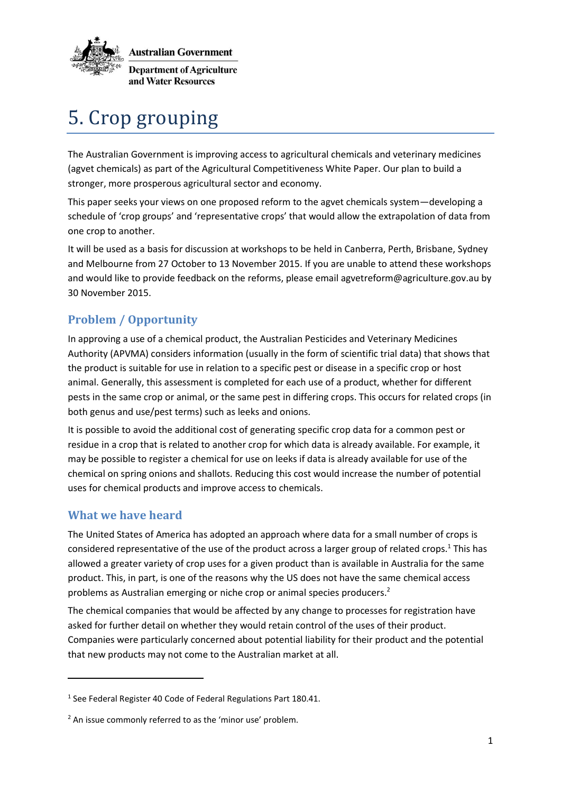

# 5. Crop grouping

The Australian Government is improving access to agricultural chemicals and veterinary medicines (agvet chemicals) as part of the Agricultural Competitiveness White Paper. Our plan to build a stronger, more prosperous agricultural sector and economy.

This paper seeks your views on one proposed reform to the agvet chemicals system—developing a schedule of 'crop groups' and 'representative crops' that would allow the extrapolation of data from one crop to another.

It will be used as a basis for discussion at workshops to be held in Canberra, Perth, Brisbane, Sydney and Melbourne from 27 October to 13 November 2015. If you are unable to attend these workshops and would like to provide feedback on the reforms, please email agvetreform@agriculture.gov.au by 30 November 2015.

# **Problem / Opportunity**

In approving a use of a chemical product, the Australian Pesticides and Veterinary Medicines Authority (APVMA) considers information (usually in the form of scientific trial data) that shows that the product is suitable for use in relation to a specific pest or disease in a specific crop or host animal. Generally, this assessment is completed for each use of a product, whether for different pests in the same crop or animal, or the same pest in differing crops. This occurs for related crops (in both genus and use/pest terms) such as leeks and onions.

It is possible to avoid the additional cost of generating specific crop data for a common pest or residue in a crop that is related to another crop for which data is already available. For example, it may be possible to register a chemical for use on leeks if data is already available for use of the chemical on spring onions and shallots. Reducing this cost would increase the number of potential uses for chemical products and improve access to chemicals.

## **What we have heard**

**.** 

The United States of America has adopted an approach where data for a small number of crops is considered representative of the use of the product across a larger group of related crops.<sup>1</sup> This has allowed a greater variety of crop uses for a given product than is available in Australia for the same product. This, in part, is one of the reasons why the US does not have the same chemical access problems as Australian emerging or niche crop or animal species producers. 2

The chemical companies that would be affected by any change to processes for registration have asked for further detail on whether they would retain control of the uses of their product. Companies were particularly concerned about potential liability for their product and the potential that new products may not come to the Australian market at all.

<sup>&</sup>lt;sup>1</sup> See Federal Register 40 Code of Federal Regulations Part 180.41.

<sup>&</sup>lt;sup>2</sup> An issue commonly referred to as the 'minor use' problem.